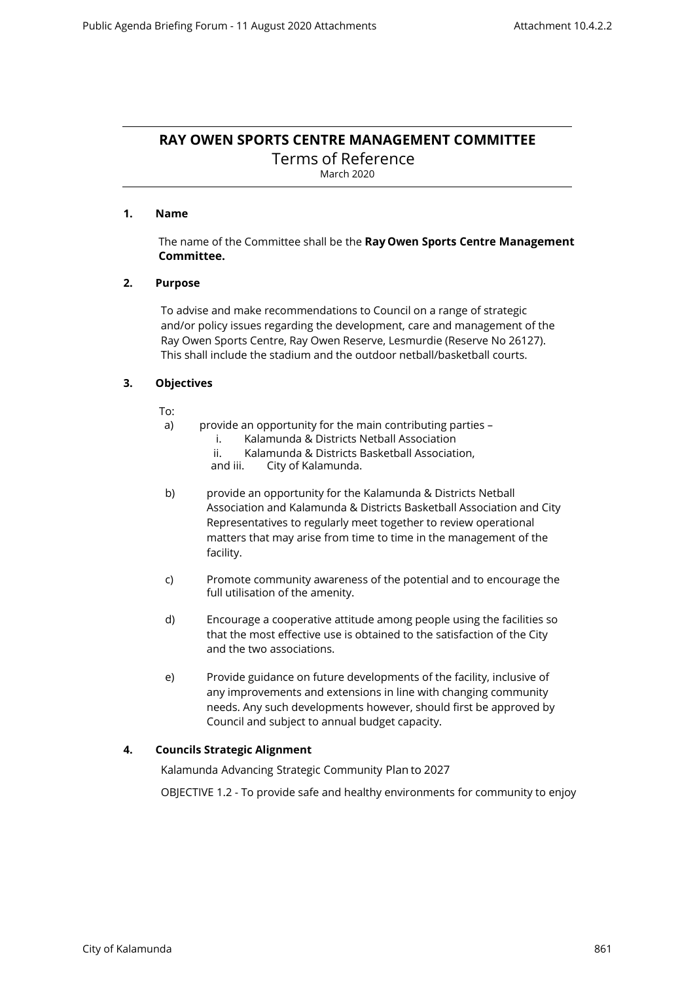# **RAY OWEN SPORTS CENTRE MANAGEMENT COMMITTEE**

Terms of Reference March 2020

# **1. Name**

The name of the Committee shall be the **Ray Owen Sports Centre Management Committee.**

# **2. Purpose**

To advise and make recommendations to Council on a range of strategic and/or policy issues regarding the development, care and management of the Ray Owen Sports Centre, Ray Owen Reserve, Lesmurdie (Reserve No 26127). This shall include the stadium and the outdoor netball/basketball courts.

# **3. Objectives**

To:

- a) provide an opportunity for the main contributing parties
	- i. Kalamunda & Districts Netball Association
	- ii. Kalamunda & Districts Basketball Association, and iii. City of Kalamunda.
	- City of Kalamunda.
- b) provide an opportunity for the Kalamunda & Districts Netball Association and Kalamunda & Districts Basketball Association and City Representatives to regularly meet together to review operational matters that may arise from time to time in the management of the facility.
- c) Promote community awareness of the potential and to encourage the full utilisation of the amenity.
- d) Encourage a cooperative attitude among people using the facilities so that the most effective use is obtained to the satisfaction of the City and the two associations.
- e) Provide guidance on future developments of the facility, inclusive of any improvements and extensions in line with changing community needs. Any such developments however, should first be approved by Council and subject to annual budget capacity.

# **4. Councils Strategic Alignment**

Kalamunda Advancing Strategic Community Plan to 2027

OBJECTIVE 1.2 - To provide safe and healthy environments for community to enjoy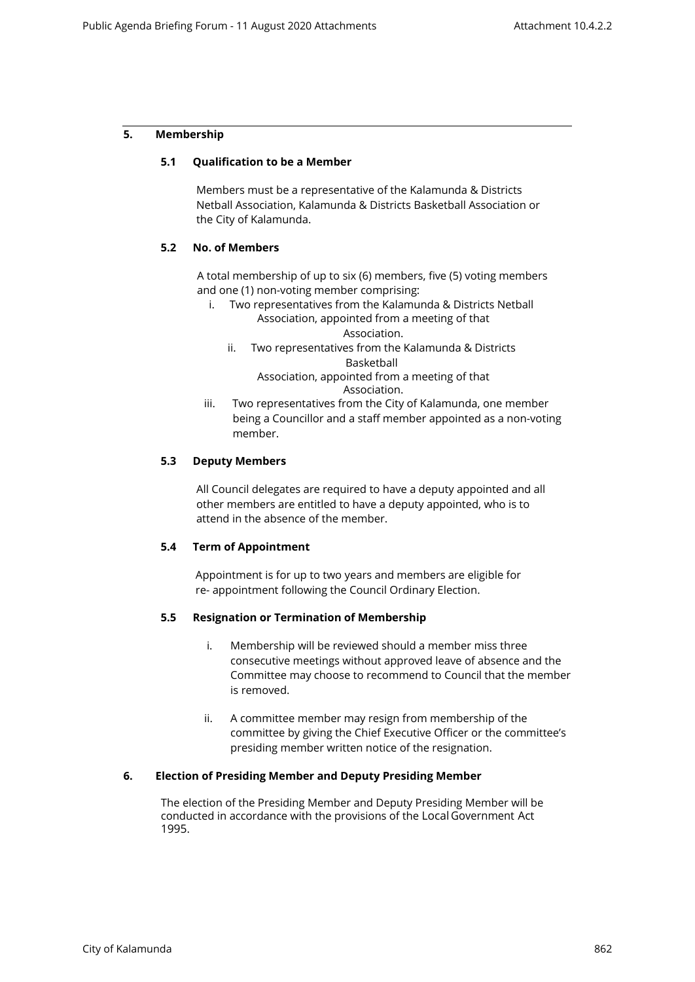# **5. Membership**

# **5.1 Qualification to be a Member**

Members must be a representative of the Kalamunda & Districts Netball Association, Kalamunda & Districts Basketball Association or the City of Kalamunda.

# **5.2 No. of Members**

A total membership of up to six (6) members, five (5) voting members and one (1) non-voting member comprising:

- i. Two representatives from the Kalamunda & Districts Netball Association, appointed from a meeting of that Association.
	- ii. Two representatives from the Kalamunda & Districts Basketball

Association, appointed from a meeting of that Association.

iii. Two representatives from the City of Kalamunda, one member being a Councillor and a staff member appointed as a non-voting member.

# **5.3 Deputy Members**

All Council delegates are required to have a deputy appointed and all other members are entitled to have a deputy appointed, who is to attend in the absence of the member.

# **5.4 Term of Appointment**

Appointment is for up to two years and members are eligible for re- appointment following the Council Ordinary Election.

# **5.5 Resignation or Termination of Membership**

- i. Membership will be reviewed should a member miss three consecutive meetings without approved leave of absence and the Committee may choose to recommend to Council that the member is removed.
- ii. A committee member may resign from membership of the committee by giving the Chief Executive Officer or the committee's presiding member written notice of the resignation.

# **6. Election of Presiding Member and Deputy Presiding Member**

The election of the Presiding Member and Deputy Presiding Member will be conducted in accordance with the provisions of the Local Government Act 1995.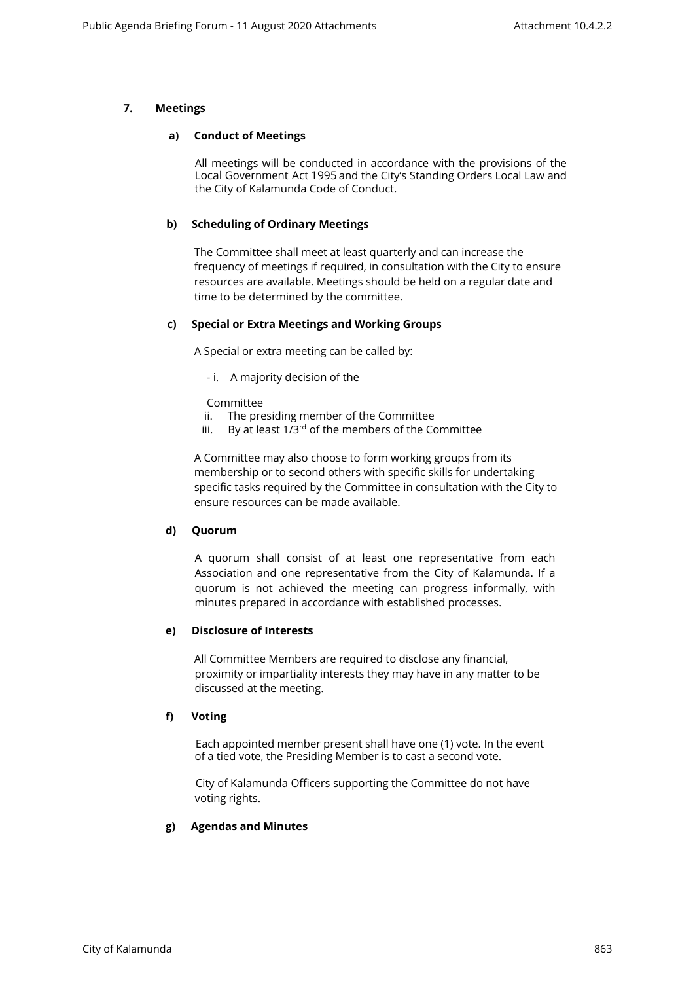# **7. Meetings**

#### **a) Conduct of Meetings**

All meetings will be conducted in accordance with the provisions of the Local Government Act 1995 and the City's Standing Orders Local Law and the City of Kalamunda Code of Conduct.

# **b) Scheduling of Ordinary Meetings**

The Committee shall meet at least quarterly and can increase the frequency of meetings if required, in consultation with the City to ensure resources are available. Meetings should be held on a regular date and time to be determined by the committee.

# **c) Special or Extra Meetings and Working Groups**

A Special or extra meeting can be called by:

- i. A majority decision of the

Committee

- ii. The presiding member of the Committee
- iii. By at least  $1/3^{rd}$  of the members of the Committee

A Committee may also choose to form working groups from its membership or to second others with specific skills for undertaking specific tasks required by the Committee in consultation with the City to ensure resources can be made available.

# **d) Quorum**

A quorum shall consist of at least one representative from each Association and one representative from the City of Kalamunda. If a quorum is not achieved the meeting can progress informally, with minutes prepared in accordance with established processes.

# **e) Disclosure of Interests**

All Committee Members are required to disclose any financial, proximity or impartiality interests they may have in any matter to be discussed at the meeting.

# **f) Voting**

Each appointed member present shall have one (1) vote. In the event of a tied vote, the Presiding Member is to cast a second vote.

City of Kalamunda Officers supporting the Committee do not have voting rights.

# **g) Agendas and Minutes**